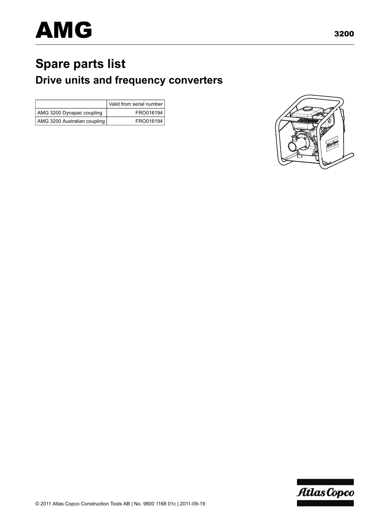# **Spare parts list Drive units and frequency converters**

|                              | Valid from serial number |
|------------------------------|--------------------------|
| AMG 3200 Dynapac coupling    | FRO016194                |
| AMG 3200 Australian coupling | FRO016194                |



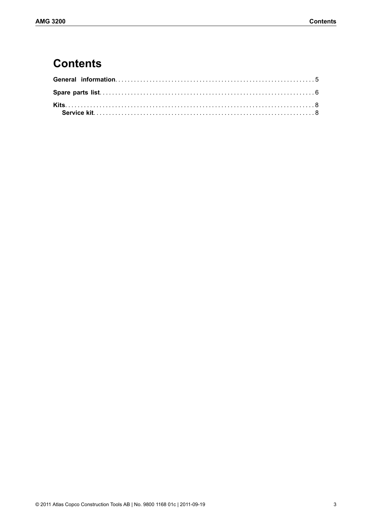### **Contents**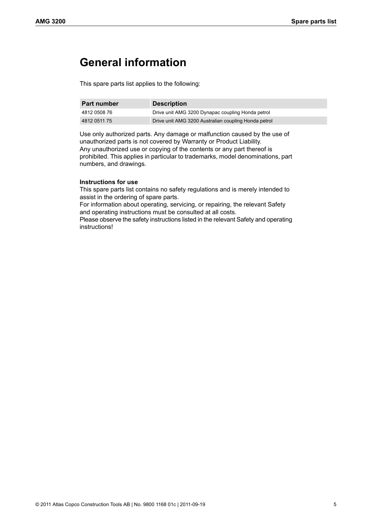#### <span id="page-4-0"></span>**General information**

This spare parts list applies to the following:

| <b>Part number</b> | <b>Description</b>                                   |
|--------------------|------------------------------------------------------|
| 4812 0508 76       | Drive unit AMG 3200 Dynapac coupling Honda petrol    |
| 4812 0511 75       | Drive unit AMG 3200 Australian coupling Honda petrol |

Use only authorized parts. Any damage or malfunction caused by the use of unauthorized parts is not covered by Warranty or Product Liability. Any unauthorized use or copying of the contents or any part thereof is prohibited. This applies in particular to trademarks, model denominations, part numbers, and drawings.

#### **Instructions for use**

This spare parts list contains no safety regulations and is merely intended to assist in the ordering of spare parts.

For information about operating, servicing, or repairing, the relevant Safety and operating instructions must be consulted at all costs.

Please observe the safety instructions listed in the relevant Safety and operating instructions!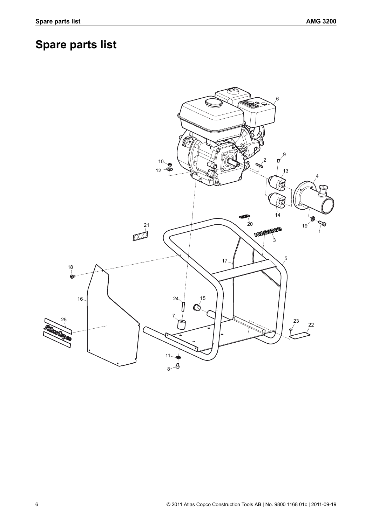## <span id="page-5-0"></span>**Spare parts list**

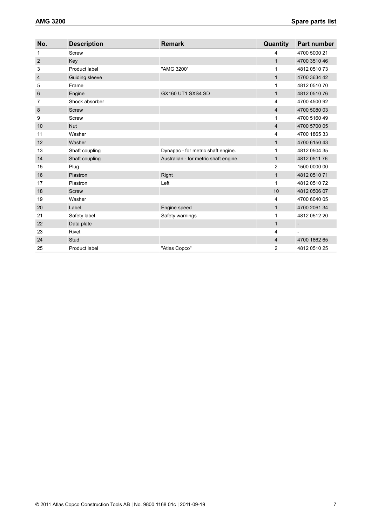| No.            | <b>Description</b> | <b>Remark</b>                         | Quantity       | <b>Part number</b>       |
|----------------|--------------------|---------------------------------------|----------------|--------------------------|
| 1              | Screw              |                                       | 4              | 4700 5000 21             |
| $\overline{2}$ | Key                |                                       | $\mathbf{1}$   | 4700 3510 46             |
| 3              | Product label      | "AMG 3200"                            | 1              | 4812 0510 73             |
| 4              | Guiding sleeve     |                                       | $\mathbf{1}$   | 4700 3634 42             |
| 5              | Frame              |                                       | 1              | 4812 0510 70             |
| 6              | Engine             | GX160 UT1 SXS4 SD                     | $\mathbf{1}$   | 4812 0510 76             |
| 7              | Shock absorber     |                                       | $\overline{4}$ | 4700 4500 92             |
| 8              | Screw              |                                       | $\overline{4}$ | 4700 5080 03             |
| 9              | Screw              |                                       | 1              | 4700 5160 49             |
| 10             | <b>Nut</b>         |                                       | $\overline{4}$ | 4700 5700 05             |
| 11             | Washer             |                                       | 4              | 4700 1865 33             |
| 12             | Washer             |                                       | $\mathbf{1}$   | 4700 6150 43             |
| 13             | Shaft coupling     | Dynapac - for metric shaft engine.    | 1              | 4812 0504 35             |
| 14             | Shaft coupling     | Australian - for metric shaft engine. | $\mathbf{1}$   | 4812 0511 76             |
| 15             | Plug               |                                       | $\overline{2}$ | 1500 0000 00             |
| 16             | Plastron           | Right                                 | $\mathbf{1}$   | 4812 0510 71             |
| 17             | Plastron           | Left                                  | 1              | 4812 0510 72             |
| 18             | <b>Screw</b>       |                                       | 10             | 4812 0506 07             |
| 19             | Washer             |                                       | 4              | 4700 6040 05             |
| 20             | Label              | Engine speed                          | $\mathbf{1}$   | 4700 2061 34             |
| 21             | Safety label       | Safety warnings                       | 1              | 4812 0512 20             |
| 22             | Data plate         |                                       | $\mathbf{1}$   | $\overline{\phantom{0}}$ |
| 23             | Rivet              |                                       | 4              |                          |
| 24             | Stud               |                                       | 4              | 4700 1862 65             |
| 25             | Product label      | "Atlas Copco"                         | 2              | 4812 0510 25             |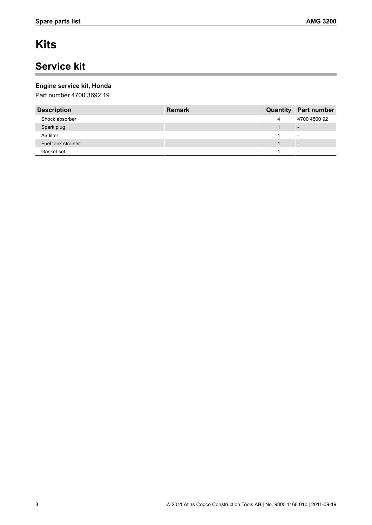## <span id="page-7-0"></span>**Kits**

### <span id="page-7-1"></span>**Service kit**

#### **Engine service kit, Honda**

Part number 4700 3692 19

| <b>Description</b> | <b>Remark</b> |   | <b>Quantity Part number</b> |
|--------------------|---------------|---|-----------------------------|
| Shock absorber     |               | 4 | 4700 4500 92                |
| Spark plug         |               |   |                             |
| Air filter         |               |   | $\overline{\phantom{a}}$    |
| Fuel tank strainer |               |   | $\overline{\phantom{0}}$    |
| Gasket set         |               |   | $\overline{\phantom{0}}$    |